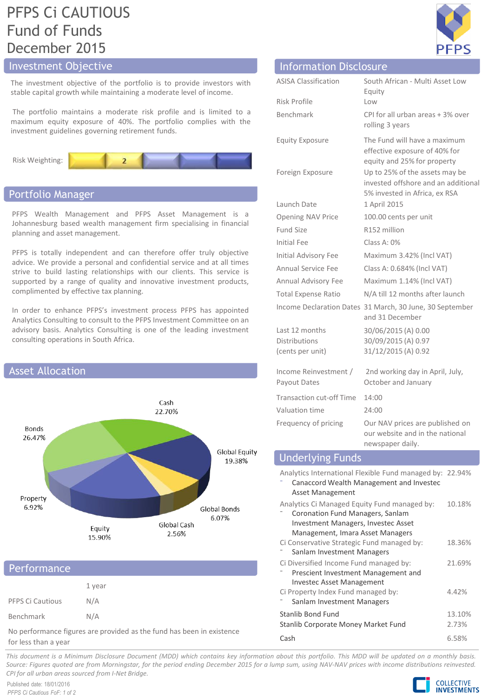# PFPS Ci CAUTIOUS Fund of Funds December 2015

# Investment Objective

The investment objective of the portfolio is to provide investors with stable capital growth while maintaining a moderate level of income.

The portfolio maintains a moderate risk profile and is limited to a maximum equity exposure of 40%. The portfolio complies with the investment guidelines governing retirement funds.



# Portfolio Manager

PFPS Wealth Management and PFPS Asset Management is a Johannesburg based wealth management firm specialising in financial planning and asset management.

PFPS is totally independent and can therefore offer truly objective advice. We provide a personal and confidential service and at all times strive to build lasting relationships with our clients. This service is supported by a range of quality and innovative investment products, complimented by effective tax planning.

In order to enhance PFPS's investment process PFPS has appointed Analytics Consulting to consult to the PFPS Investment Committee on an advisory basis. Analytics Consulting is one of the leading investment consulting operations in South Africa.



|                         | 1 year |
|-------------------------|--------|
| <b>PFPS Ci Cautious</b> | N/A    |
| Benchmark               | N/A    |

No performance figures are provided as the fund has been in existence for less than a year

| <b>ASISA Classification</b>                                | South African - Multi Asset Low<br>Equity                                                              |
|------------------------------------------------------------|--------------------------------------------------------------------------------------------------------|
| Risk Profile                                               | Low                                                                                                    |
| Benchmark                                                  | CPI for all urban areas + 3% over<br>rolling 3 years                                                   |
| <b>Equity Exposure</b>                                     | The Fund will have a maximum<br>effective exposure of 40% for<br>equity and 25% for property           |
| Foreign Exposure                                           | Up to 25% of the assets may be<br>invested offshore and an additional<br>5% invested in Africa, ex RSA |
| Launch Date                                                | 1 April 2015                                                                                           |
| Opening NAV Price                                          | 100.00 cents per unit                                                                                  |
| <b>Fund Size</b>                                           | R152 million                                                                                           |
| Initial Fee                                                | Class A: 0%                                                                                            |
| Initial Advisory Fee                                       | Maximum 3.42% (Incl VAT)                                                                               |
| Annual Service Fee                                         | Class A: 0.684% (Incl VAT)                                                                             |
| Annual Advisory Fee                                        | Maximum 1.14% (Incl VAT)                                                                               |
| <b>Total Expense Ratio</b>                                 | N/A till 12 months after launch                                                                        |
|                                                            | Income Declaration Dates 31 March, 30 June, 30 September<br>and 31 December                            |
| Last 12 months<br><b>Distributions</b><br>(cents per unit) | 30/06/2015 (A) 0.00<br>30/09/2015 (A) 0.97<br>31/12/2015 (A) 0.92                                      |
| Income Reinvestment /<br>Payout Dates                      | 2nd working day in April, July,<br>October and January                                                 |
| <b>Transaction cut-off Time</b>                            | 14:00                                                                                                  |
| Valuation time                                             | 24:00                                                                                                  |
| Frequency of pricing                                       | Our NAV prices are published on<br>our website and in the national<br>newspaper daily.                 |
| <b>Underlying Funds</b>                                    |                                                                                                        |

**Information Disclosure** 

| Underlying Funds                                                                                                                                            |                 |
|-------------------------------------------------------------------------------------------------------------------------------------------------------------|-----------------|
| Analytics International Flexible Fund managed by: 22.94%<br>Canaccord Wealth Management and Investec<br>Asset Management                                    |                 |
| Analytics Ci Managed Equity Fund managed by:<br>Coronation Fund Managers, Sanlam<br>Investment Managers, Investec Asset<br>Management, Imara Asset Managers | 10.18%          |
| Ci Conservative Strategic Fund managed by:<br>Sanlam Investment Managers                                                                                    | 18.36%          |
| Ci Diversified Income Fund managed by:<br>Prescient Investment Management and<br><b>Investec Asset Management</b>                                           | 21.69%          |
| Ci Property Index Fund managed by:<br>Sanlam Investment Managers                                                                                            | 4.42%           |
| Stanlib Bond Fund<br>Stanlib Corporate Money Market Fund                                                                                                    | 13.10%<br>2.73% |
| Cash                                                                                                                                                        | 6.58%           |

This document is a Minimum Disclosure Document (MDD) which contains key information about this portfolio. This MDD will be updated on a monthly basis. Source: Figures guoted are from Morningstar, for the period ending December 2015 for a lump sum, using NAV-NAV prices with income distributions reinvested. *CPI for all urban areas sourced from I-Net Bridge.*

Published date: 18/01/2016 *PFPS Ci Cautious FoF: 1 of 2*